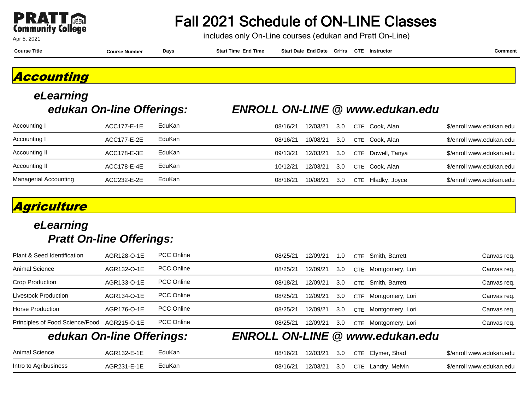

## Fall 2021 Schedule of ON-LINE Classes

includes only On-Line courses (edukan and Pratt On-Line)

**Course Title Course Number Days Start Time End Time Start Date End Date CrHrs Instructor Comment CTE**

#### **Accounting**

# **eLearning**

#### **edukan On-line Offerings: ENROLL ON-LINE @ www.edukan.edu**

| Accounting I                 | ACC177-E-1E | EduKan | 08/16/21 | 12/03/21 | 3.0 | CTE Cook, Alan    | \$/enroll www.edukan.edu |
|------------------------------|-------------|--------|----------|----------|-----|-------------------|--------------------------|
| Accounting I                 | ACC177-E-2E | EduKan | 08/16/21 | 10/08/21 | 3.0 | CTE Cook. Alan    | \$/enroll www.edukan.edu |
| Accounting II                | ACC178-E-3E | EduKan | 09/13/21 | 12/03/21 | 3.0 | CTE Dowell, Tanya | \$/enroll www.edukan.edu |
| Accounting II                | ACC178-E-4E | EduKan | 10/12/21 | 12/03/21 | 3.0 | CTE Cook. Alan    | \$/enroll www.edukan.edu |
| <b>Managerial Accounting</b> | ACC232-E-2E | EduKan | 08/16/21 | 10/08/21 | 3.0 | CTE Hladky, Joyce | \$/enroll www.edukan.edu |

### **Agriculture**

|                                 | edukan On-line Offerings: |                   |          |          |     | <b>ENROLL ON-LINE @ www.edukan.edu</b> |             |
|---------------------------------|---------------------------|-------------------|----------|----------|-----|----------------------------------------|-------------|
| Principles of Food Science/Food | AGR215-O-1E               | <b>PCC Online</b> | 08/25/21 | 12/09/21 | 3.0 | Montgomery, Lori<br><b>CTE</b>         | Canvas req. |
| Horse Production                | AGR176-O-1E               | <b>PCC Online</b> | 08/25/21 | 12/09/21 | 3.0 | CTE Montgomery, Lori                   | Canvas req. |
| Livestock Production            | AGR134-O-1E               | <b>PCC Online</b> | 08/25/21 | 12/09/21 | 3.0 | Montgomery, Lori<br><b>CTF</b>         | Canvas reg. |
| Crop Production                 | AGR133-O-1E               | <b>PCC Online</b> | 08/18/21 | 12/09/21 | 3.0 | Smith, Barrett<br>CTE                  | Canvas req. |
| Animal Science                  | AGR132-O-1E               | <b>PCC Online</b> | 08/25/21 | 12/09/21 | 3.0 | Montgomery, Lori<br><b>CTE</b>         | Canvas req. |
| Plant & Seed Identification     | AGR128-O-1E               | <b>PCC Online</b> | 08/25/21 | 12/09/21 | 1.0 | Smith, Barrett<br><b>CTE</b>           | Canvas req. |

| Animal Science        | AGR132-E-1E | EduKan |          |  | 08/16/21 12/03/21 3.0 CTE Clymer, Shad | \$/enroll www.edukan.edu |
|-----------------------|-------------|--------|----------|--|----------------------------------------|--------------------------|
| Intro to Agribusiness | AGR231-E-1E | EduKan | 08/16/21 |  | 12/03/21 3.0 CTE Landry, Melvin        | \$/enroll www.edukan.edu |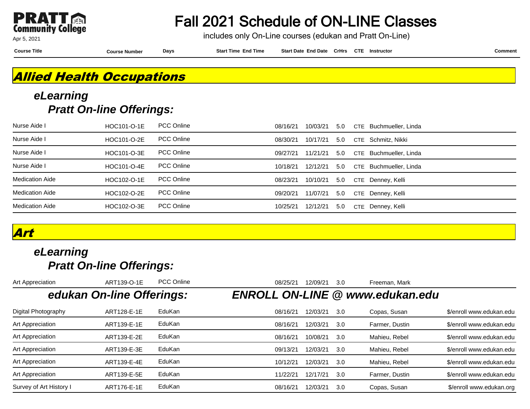

Fall 2021 Schedule of ON-LINE Classes

includes only On-Line courses (edukan and Pratt On-Line)

**Course Title Course Number Days Start Time End Time Start Date End Date CrHrs Instructor Comment CTE**

#### **Allied Health Occupations**

#### **eLearning Pratt On-line Offerings:**

| Nurse Aide I           | HOC101-O-1E | <b>PCC Online</b> | 08/16/21 | 10/03/21 | 5.0 | CTE Buchmueller, Linda |
|------------------------|-------------|-------------------|----------|----------|-----|------------------------|
| Nurse Aide I           | HOC101-O-2E | <b>PCC Online</b> | 08/30/21 | 10/17/21 | 5.0 | CTE Schmitz, Nikki     |
| Nurse Aide I           | HOC101-O-3E | <b>PCC Online</b> | 09/27/21 | 11/21/21 | 5.0 | CTE Buchmueller, Linda |
| Nurse Aide I           | HOC101-O-4E | <b>PCC Online</b> | 10/18/21 | 12/12/21 | 5.0 | CTE Buchmueller, Linda |
| <b>Medication Aide</b> | HOC102-O-1E | <b>PCC Online</b> | 08/23/21 | 10/10/21 | 5.0 | CTE Denney, Kelli      |
| <b>Medication Aide</b> | HOC102-O-2E | <b>PCC Online</b> | 09/20/21 | 11/07/21 | 5.0 | CTE Denney, Kelli      |
| <b>Medication Aide</b> | HOC102-O-3E | PCC Online        | 10/25/21 | 12/12/21 | 5.0 | CTE Denney, Kelli      |

#### **Art**

| Art Appreciation        | ART139-O-1E               | <b>PCC Online</b> | 08/25/21 | 12/09/21 | 3.0 | Freeman, Mark                          |                          |
|-------------------------|---------------------------|-------------------|----------|----------|-----|----------------------------------------|--------------------------|
|                         | edukan On-line Offerings: |                   |          |          |     | <b>ENROLL ON-LINE @ www.edukan.edu</b> |                          |
| Digital Photography     | ART128-E-1E               | EduKan            | 08/16/21 | 12/03/21 | 3.0 | Copas, Susan                           | \$/enroll www.edukan.edu |
| Art Appreciation        | ART139-E-1E               | EduKan            | 08/16/21 | 12/03/21 | 3.0 | Farmer, Dustin                         | \$/enroll www.edukan.edu |
| Art Appreciation        | ART139-E-2E               | EduKan            | 08/16/21 | 10/08/21 | 3.0 | Mahieu, Rebel                          | \$/enroll www.edukan.edu |
| Art Appreciation        | ART139-E-3E               | EduKan            | 09/13/21 | 12/03/21 | 3.0 | Mahieu, Rebel                          | \$/enroll www.edukan.edu |
| Art Appreciation        | ART139-E-4E               | EduKan            | 10/12/21 | 12/03/21 | 3.0 | Mahieu, Rebel                          | \$/enroll www.edukan.edu |
| Art Appreciation        | ART139-E-5E               | EduKan            | 11/22/21 | 12/17/21 | 3.0 | Farmer, Dustin                         | \$/enroll www.edukan.edu |
| Survey of Art History I | ART176-E-1E               | EduKan            | 08/16/21 | 12/03/21 | 3.0 | Copas, Susan                           | \$/enroll www.edukan.org |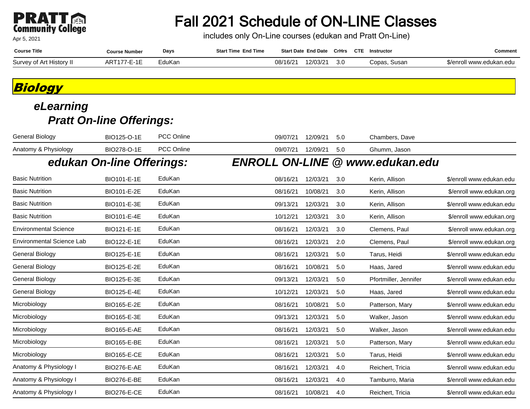# **PRATT**<br>Community College

Apr 5, 2021

## Fall 2021 Schedule of ON-LINE Classes

includes only On-Line courses (edukan and Pratt On-Line)

| <b>Course Title</b>           | <b>Course Number</b> | Days   | End Time<br><b>Start Time</b> | <b>Start Date</b> | <b>End Date</b> | CrHrs | <b>CTE</b> | Instructor      | Comment                 |
|-------------------------------|----------------------|--------|-------------------------------|-------------------|-----------------|-------|------------|-----------------|-------------------------|
| Survey of Art I<br>History II | AΚ                   | ∶duKar |                               | 08/16/2           | 12/03/2         | 3.0   |            | Copas.<br>Susan | 5/enroll www.edukan.edu |

#### **Biology**

| <b>General Biology</b>           | BIO125-O-1E               | PCC Online | 09/07/21 | 12/09/21 | 5.0 | Chambers, Dave                         |                          |
|----------------------------------|---------------------------|------------|----------|----------|-----|----------------------------------------|--------------------------|
| Anatomy & Physiology             | BIO278-O-1E               | PCC Online | 09/07/21 | 12/09/21 | 5.0 | Ghumm, Jason                           |                          |
|                                  | edukan On-line Offerings: |            |          |          |     | <b>ENROLL ON-LINE @ www.edukan.edu</b> |                          |
| <b>Basic Nutrition</b>           | BIO101-E-1E               | EduKan     | 08/16/21 | 12/03/21 | 3.0 | Kerin, Allison                         | \$/enroll www.edukan.edu |
| <b>Basic Nutrition</b>           | BIO101-E-2E               | EduKan     | 08/16/21 | 10/08/21 | 3.0 | Kerin, Allison                         | \$/enroll www.edukan.org |
| <b>Basic Nutrition</b>           | BIO101-E-3E               | EduKan     | 09/13/21 | 12/03/21 | 3.0 | Kerin, Allison                         | \$/enroll www.edukan.edu |
| <b>Basic Nutrition</b>           | BIO101-E-4E               | EduKan     | 10/12/21 | 12/03/21 | 3.0 | Kerin, Allison                         | \$/enroll www.edukan.org |
| <b>Environmental Science</b>     | BIO121-E-1E               | EduKan     | 08/16/21 | 12/03/21 | 3.0 | Clemens, Paul                          | \$/enroll www.edukan.org |
| <b>Environmental Science Lab</b> | BIO122-E-1E               | EduKan     | 08/16/21 | 12/03/21 | 2.0 | Clemens, Paul                          | \$/enroll www.edukan.org |
| General Biology                  | BIO125-E-1E               | EduKan     | 08/16/21 | 12/03/21 | 5.0 | Tarus, Heidi                           | \$/enroll www.edukan.edu |
| General Biology                  | BIO125-E-2E               | EduKan     | 08/16/21 | 10/08/21 | 5.0 | Haas, Jared                            | \$/enroll www.edukan.edu |
| General Biology                  | BIO125-E-3E               | EduKan     | 09/13/21 | 12/03/21 | 5.0 | Pfortmiller, Jennifer                  | \$/enroll www.edukan.edu |
| General Biology                  | BIO125-E-4E               | EduKan     | 10/12/21 | 12/03/21 | 5.0 | Haas, Jared                            | \$/enroll www.edukan.edu |
| Microbiology                     | BIO165-E-2E               | EduKan     | 08/16/21 | 10/08/21 | 5.0 | Patterson, Mary                        | \$/enroll www.edukan.edu |
| Microbiology                     | BIO165-E-3E               | EduKan     | 09/13/21 | 12/03/21 | 5.0 | Walker, Jason                          | \$/enroll www.edukan.edu |
| Microbiology                     | <b>BIO165-E-AE</b>        | EduKan     | 08/16/21 | 12/03/21 | 5.0 | Walker, Jason                          | \$/enroll www.edukan.edu |
| Microbiology                     | <b>BIO165-E-BE</b>        | EduKan     | 08/16/21 | 12/03/21 | 5.0 | Patterson, Mary                        | \$/enroll www.edukan.edu |
| Microbiology                     | <b>BIO165-E-CE</b>        | EduKan     | 08/16/21 | 12/03/21 | 5.0 | Tarus, Heidi                           | \$/enroll www.edukan.edu |
| Anatomy & Physiology I           | <b>BIO276-E-AE</b>        | EduKan     | 08/16/21 | 12/03/21 | 4.0 | Reichert, Tricia                       | \$/enroll www.edukan.edu |
| Anatomy & Physiology I           | <b>BIO276-E-BE</b>        | EduKan     | 08/16/21 | 12/03/21 | 4.0 | Tamburro, Maria                        | \$/enroll www.edukan.edu |
| Anatomy & Physiology I           | <b>BIO276-E-CE</b>        | EduKan     | 08/16/21 | 10/08/21 | 4.0 | Reichert, Tricia                       | \$/enroll www.edukan.edu |
|                                  |                           |            |          |          |     |                                        |                          |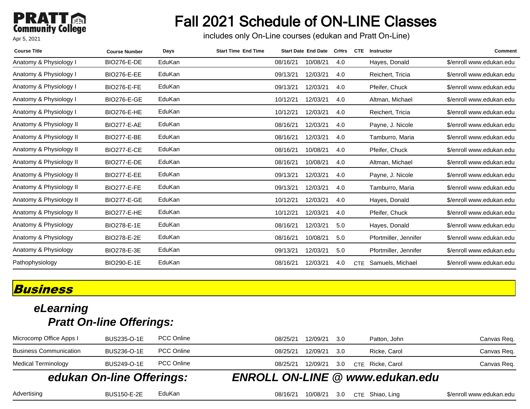### **PRATT**<br>Community College Apr 5, 2021

# Fall 2021 Schedule of ON-LINE Classes

includes only On-Line courses (edukan and Pratt On-Line)

| <b>Course Title</b>     | <b>Course Number</b> | Days   | <b>Start Time End Time</b> |          | <b>Start Date End Date</b> | <b>CrHrs</b> | <b>CTE</b> | Instructor            | <b>Comment</b>           |
|-------------------------|----------------------|--------|----------------------------|----------|----------------------------|--------------|------------|-----------------------|--------------------------|
| Anatomy & Physiology I  | <b>BIO276-E-DE</b>   | EduKan |                            | 08/16/21 | 10/08/21                   | 4.0          |            | Hayes, Donald         | \$/enroll www.edukan.edu |
| Anatomy & Physiology I  | <b>BIO276-E-EE</b>   | EduKan |                            | 09/13/21 | 12/03/21                   | 4.0          |            | Reichert, Tricia      | \$/enroll www.edukan.edu |
| Anatomy & Physiology I  | <b>BIO276-E-FE</b>   | EduKan |                            | 09/13/21 | 12/03/21                   | 4.0          |            | Pfeifer, Chuck        | \$/enroll www.edukan.edu |
| Anatomy & Physiology I  | <b>BIO276-E-GE</b>   | EduKan |                            | 10/12/21 | 12/03/21                   | 4.0          |            | Altman, Michael       | \$/enroll www.edukan.edu |
| Anatomy & Physiology I  | <b>BIO276-E-HE</b>   | EduKan |                            | 10/12/21 | 12/03/21                   | 4.0          |            | Reichert, Tricia      | \$/enroll www.edukan.edu |
| Anatomy & Physiology II | <b>BIO277-E-AE</b>   | EduKan |                            | 08/16/21 | 12/03/21                   | 4.0          |            | Payne, J. Nicole      | \$/enroll www.edukan.edu |
| Anatomy & Physiology II | <b>BIO277-E-BE</b>   | EduKan |                            | 08/16/21 | 12/03/21                   | 4.0          |            | Tamburro, Maria       | \$/enroll www.edukan.edu |
| Anatomy & Physiology II | <b>BIO277-E-CE</b>   | EduKan |                            | 08/16/21 | 10/08/21                   | 4.0          |            | Pfeifer, Chuck        | \$/enroll www.edukan.edu |
| Anatomy & Physiology II | <b>BIO277-E-DE</b>   | EduKan |                            | 08/16/21 | 10/08/21                   | 4.0          |            | Altman, Michael       | \$/enroll www.edukan.edu |
| Anatomy & Physiology II | <b>BIO277-E-EE</b>   | EduKan |                            | 09/13/21 | 12/03/21                   | 4.0          |            | Payne, J. Nicole      | \$/enroll www.edukan.edu |
| Anatomy & Physiology II | <b>BIO277-E-FE</b>   | EduKan |                            | 09/13/21 | 12/03/21                   | 4.0          |            | Tamburro, Maria       | \$/enroll www.edukan.edu |
| Anatomy & Physiology II | <b>BIO277-E-GE</b>   | EduKan |                            | 10/12/21 | 12/03/21                   | 4.0          |            | Hayes, Donald         | \$/enroll www.edukan.edu |
| Anatomy & Physiology II | <b>BIO277-E-HE</b>   | EduKan |                            | 10/12/21 | 12/03/21                   | 4.0          |            | Pfeifer, Chuck        | \$/enroll www.edukan.edu |
| Anatomy & Physiology    | BIO278-E-1E          | EduKan |                            | 08/16/21 | 12/03/21                   | 5.0          |            | Hayes, Donald         | \$/enroll www.edukan.edu |
| Anatomy & Physiology    | BIO278-E-2E          | EduKan |                            | 08/16/21 | 10/08/21                   | 5.0          |            | Pfortmiller, Jennifer | \$/enroll www.edukan.edu |
| Anatomy & Physiology    | BIO278-E-3E          | EduKan |                            | 09/13/21 | 12/03/21                   | 5.0          |            | Pfortmiller, Jennifer | \$/enroll www.edukan.edu |
| Pathophysiology         | BIO290-E-1E          | EduKan |                            | 08/16/21 | 12/03/21                   | 4.0          | <b>CTE</b> | Samuels, Michael      | \$/enroll www.edukan.edu |

#### **Business**

#### **eLearning Pratt On-line Offerings:**

| edukan On-line Offerings:     |             |                   |          | <b>ENROLL ON-LINE @ www.edukan.edu</b> |  |                  |             |
|-------------------------------|-------------|-------------------|----------|----------------------------------------|--|------------------|-------------|
| <b>Medical Terminology</b>    | BUS249-O-1E | <b>PCC Online</b> | 08/25/21 | 12/09/21 3.0                           |  | CTE Ricke, Carol | Canvas Req. |
| <b>Business Communication</b> | BUS236-O-1E | <b>PCC Online</b> | 08/25/21 | 12/09/21 3.0                           |  | Ricke, Carol     | Canvas Req. |
| Microcomp Office Apps I       | BUS235-O-1E | <b>PCC Online</b> | 08/25/21 | 12/09/21 3.0                           |  | Patton, John     | Canvas Req. |

Advertising BUS150-E-2E EduKan 08/16/21 10/08/21 3.0 CTE Shiao, Ling \$/enroll www.edukan.edu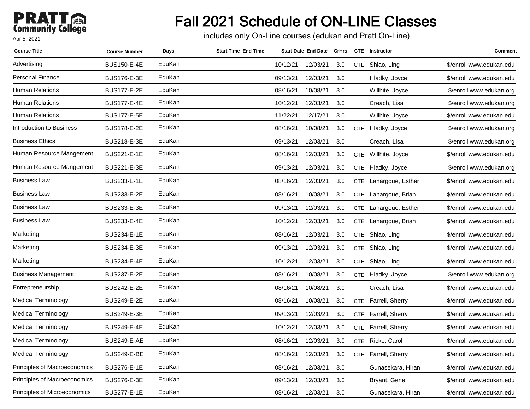### **PRATT** Apr 5, 2021

# Fall 2021 Schedule of ON-LINE Classes

includes only On-Line courses (edukan and Pratt On-Line)

| <b>Course Title</b>                 | <b>Course Number</b> | Days   | <b>Start Time End Time</b> |          | Start Date End Date CrHrs |     |            | <b>CTE</b> Instructor | <b>Comment</b>           |
|-------------------------------------|----------------------|--------|----------------------------|----------|---------------------------|-----|------------|-----------------------|--------------------------|
| Advertising                         | <b>BUS150-E-4E</b>   | EduKan |                            | 10/12/21 | 12/03/21                  | 3.0 |            | CTE Shiao, Ling       | \$/enroll www.edukan.edu |
| <b>Personal Finance</b>             | <b>BUS176-E-3E</b>   | EduKan |                            | 09/13/21 | 12/03/21                  | 3.0 |            | Hladky, Joyce         | \$/enroll www.edukan.edu |
| Human Relations                     | <b>BUS177-E-2E</b>   | EduKan |                            | 08/16/21 | 10/08/21                  | 3.0 |            | Willhite, Joyce       | \$/enroll www.edukan.org |
| Human Relations                     | <b>BUS177-E-4E</b>   | EduKan |                            | 10/12/21 | 12/03/21                  | 3.0 |            | Creach, Lisa          | \$/enroll www.edukan.org |
| Human Relations                     | <b>BUS177-E-5E</b>   | EduKan |                            | 11/22/21 | 12/17/21                  | 3.0 |            | Willhite, Joyce       | \$/enroll www.edukan.edu |
| Introduction to Business            | <b>BUS178-E-2E</b>   | EduKan |                            | 08/16/21 | 10/08/21                  | 3.0 |            | CTE Hladky, Joyce     | \$/enroll www.edukan.org |
| <b>Business Ethics</b>              | BUS218-E-3E          | EduKan |                            | 09/13/21 | 12/03/21                  | 3.0 |            | Creach, Lisa          | \$/enroll www.edukan.org |
| Human Resource Mangement            | <b>BUS221-E-1E</b>   | EduKan |                            | 08/16/21 | 12/03/21                  | 3.0 | <b>CTE</b> | Willhite, Joyce       | \$/enroll www.edukan.edu |
| Human Resource Mangement            | BUS221-E-3E          | EduKan |                            | 09/13/21 | 12/03/21                  | 3.0 |            | CTE Hladky, Joyce     | \$/enroll www.edukan.org |
| Business Law                        | BUS233-E-1E          | EduKan |                            | 08/16/21 | 12/03/21                  | 3.0 |            | CTE Lahargoue, Esther | \$/enroll www.edukan.edu |
| <b>Business Law</b>                 | BUS233-E-2E          | EduKan |                            | 08/16/21 | 10/08/21                  | 3.0 |            | CTE Lahargoue, Brian  | \$/enroll www.edukan.edu |
| Business Law                        | BUS233-E-3E          | EduKan |                            | 09/13/21 | 12/03/21                  | 3.0 |            | CTE Lahargoue, Esther | \$/enroll www.edukan.edu |
| Business Law                        | <b>BUS233-E-4E</b>   | EduKan |                            | 10/12/21 | 12/03/21                  | 3.0 |            | CTE Lahargoue, Brian  | \$/enroll www.edukan.edu |
| Marketing                           | <b>BUS234-E-1E</b>   | EduKan |                            | 08/16/21 | 12/03/21                  | 3.0 |            | CTE Shiao, Ling       | \$/enroll www.edukan.edu |
| Marketing                           | BUS234-E-3E          | EduKan |                            | 09/13/21 | 12/03/21                  | 3.0 | <b>CTE</b> | Shiao, Ling           | \$/enroll www.edukan.edu |
| Marketing                           | <b>BUS234-E-4E</b>   | EduKan |                            | 10/12/21 | 12/03/21                  | 3.0 | <b>CTE</b> | Shiao, Ling           | \$/enroll www.edukan.edu |
| <b>Business Management</b>          | <b>BUS237-E-2E</b>   | EduKan |                            | 08/16/21 | 10/08/21                  | 3.0 |            | CTE Hladky, Joyce     | \$/enroll www.edukan.org |
| Entrepreneurship                    | <b>BUS242-E-2E</b>   | EduKan |                            | 08/16/21 | 10/08/21                  | 3.0 |            | Creach, Lisa          | \$/enroll www.edukan.edu |
| Medical Terminology                 | <b>BUS249-E-2E</b>   | EduKan |                            | 08/16/21 | 10/08/21                  | 3.0 |            | CTE Farrell, Sherry   | \$/enroll www.edukan.edu |
| Medical Terminology                 | BUS249-E-3E          | EduKan |                            | 09/13/21 | 12/03/21                  | 3.0 |            | CTE Farrell, Sherry   | \$/enroll www.edukan.edu |
| Medical Terminology                 | <b>BUS249-E-4E</b>   | EduKan |                            | 10/12/21 | 12/03/21                  | 3.0 |            | CTE Farrell, Sherry   | \$/enroll www.edukan.edu |
| <b>Medical Terminology</b>          | <b>BUS249-E-AE</b>   | EduKan |                            | 08/16/21 | 12/03/21                  | 3.0 | <b>CTE</b> | Ricke, Carol          | \$/enroll www.edukan.edu |
| Medical Terminology                 | <b>BUS249-E-BE</b>   | EduKan |                            | 08/16/21 | 12/03/21                  | 3.0 |            | CTE Farrell, Sherry   | \$/enroll www.edukan.edu |
| Principles of Macroeconomics        | <b>BUS276-E-1E</b>   | EduKan |                            | 08/16/21 | 12/03/21                  | 3.0 |            | Gunasekara, Hiran     | \$/enroll www.edukan.edu |
| <b>Principles of Macroeconomics</b> | <b>BUS276-E-3E</b>   | EduKan |                            | 09/13/21 | 12/03/21                  | 3.0 |            | Bryant, Gene          | \$/enroll www.edukan.edu |
| Principles of Microeconomics        | <b>BUS277-E-1E</b>   | EduKan |                            | 08/16/21 | 12/03/21                  | 3.0 |            | Gunasekara, Hiran     | \$/enroll www.edukan.edu |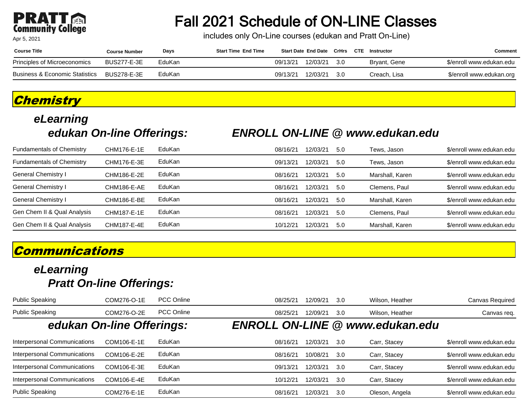#### **PRA1** Tei **Community College**

Apr 5, 2021

## Fall 2021 Schedule of ON-LINE Classes

includes only On-Line courses (edukan and Pratt On-Line)

| <b>Course Title</b>            | <b>Course Number</b> | Days   | <b>Start Time End Time</b> |          |          |      | Start Date End Date CrHrs CTE Instructor | Comment                  |
|--------------------------------|----------------------|--------|----------------------------|----------|----------|------|------------------------------------------|--------------------------|
| Principles of Microeconomics   | <b>BUS277-E-3E</b>   | EduKan |                            | 09/13/21 | 12/03/21 | -3.0 | Bryant, Gene                             | \$/enroll www.edukan.edu |
| Business & Economic Statistics | BUS278-E-3E          | EduKan |                            | 09/13/21 | 12/03/21 | 3.0  | Creach. Lisa                             | \$/enroll www.edukan.org |

#### **Chemistry**

# **eLearning**

#### **edukan On-line Offerings: ENROLL ON-LINE @ www.edukan.edu**

| <b>Fundamentals of Chemistry</b> | CHM176-E-1E | EduKan | 08/16/21 | 12/03/21 | 5.0 | Tews, Jason     | \$/enroll www.edukan.edu |
|----------------------------------|-------------|--------|----------|----------|-----|-----------------|--------------------------|
| <b>Fundamentals of Chemistry</b> | CHM176-E-3E | EduKan | 09/13/21 | 12/03/21 | 5.0 | Tews, Jason     | \$/enroll www.edukan.edu |
| General Chemistry I              | CHM186-E-2E | EduKan | 08/16/21 | 12/03/21 | 5.0 | Marshall, Karen | \$/enroll www.edukan.edu |
| General Chemistry I              | CHM186-E-AE | EduKan | 08/16/21 | 12/03/21 | 5.0 | Clemens, Paul   | \$/enroll www.edukan.edu |
| General Chemistry I              | CHM186-E-BE | EduKan | 08/16/21 | 12/03/21 | 5.0 | Marshall, Karen | \$/enroll www.edukan.edu |
| Gen Chem II & Qual Analysis      | CHM187-E-1E | EduKan | 08/16/21 | 12/03/21 | 5.0 | Clemens, Paul   | \$/enroll www.edukan.edu |
| Gen Chem II & Qual Analysis      | CHM187-E-4E | EduKan | 10/12/21 | 12/03/21 | 5.0 | Marshall, Karen | \$/enroll www.edukan.edu |

#### **Communications**

| <b>Public Speaking</b>              | COM276-O-1E | <b>PCC Online</b> | 08/25/21 | 12/09/21 | -3.0 | Wilson, Heather                        | Canvas Required          |
|-------------------------------------|-------------|-------------------|----------|----------|------|----------------------------------------|--------------------------|
| <b>Public Speaking</b>              | COM276-O-2E | <b>PCC Online</b> | 08/25/21 | 12/09/21 | 3.0  | Wilson, Heather                        | Canvas req.              |
| edukan On-line Offerings:           |             |                   |          |          |      | <b>ENROLL ON-LINE @ www.edukan.edu</b> |                          |
| Interpersonal Communications        | COM106-E-1E | EduKan            | 08/16/21 | 12/03/21 | 3.0  | Carr, Stacey                           | \$/enroll www.edukan.edu |
| <b>Interpersonal Communications</b> | COM106-E-2E | EduKan            | 08/16/21 | 10/08/21 | 3.0  | Carr, Stacey                           | \$/enroll www.edukan.edu |
| Interpersonal Communications        | COM106-E-3E | EduKan            | 09/13/21 | 12/03/21 | -3.0 | Carr, Stacey                           | \$/enroll www.edukan.edu |
| Interpersonal Communications        | COM106-E-4E | EduKan            | 10/12/21 | 12/03/21 | 3.0  | Carr, Stacey                           | \$/enroll www.edukan.edu |
| <b>Public Speaking</b>              | COM276-E-1E | EduKan            | 08/16/21 | 12/03/21 | 3.0  | Oleson, Angela                         | \$/enroll www.edukan.edu |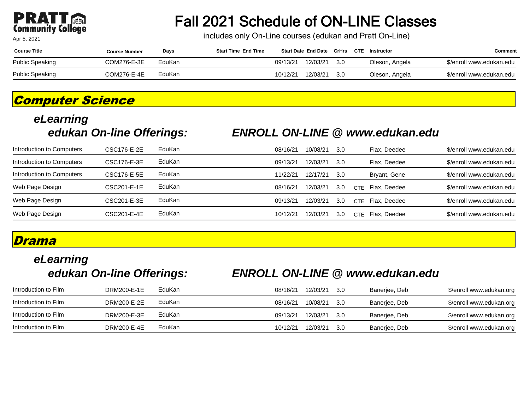#### PRA **Community College**

Apr 5, 2021

## Fall 2021 Schedule of ON-LINE Classes

includes only On-Line courses (edukan and Pratt On-Line)

| <b>Course Title</b> | Course Number | Days   | <b>Start Time End Time</b> |          | <b>Start Date End Date CrHrs</b> |     | CTE | Instructor     | Comment                  |
|---------------------|---------------|--------|----------------------------|----------|----------------------------------|-----|-----|----------------|--------------------------|
| Public Speaking     | COM276-E-3E   | EduKan |                            | 09/13/21 | 12/03/21                         | 3.0 |     | Oleson, Angela | \$/enroll www.edukan.edu |
| Public Speaking     | COM276-E-4E   | EduKan |                            | 10/12/21 | 12/03/21                         | 3.0 |     | Oleson, Angela | \$/enroll www.edukan.edu |

#### **Computer Science**

# **eLearning**

#### **edukan On-line Offerings: ENROLL ON-LINE @ www.edukan.edu**

| Introduction to Computers | CSC176-E-2E | EduKan | 08/16/21 | 10/08/21 | 3.0 | Flax. Deedee         | \$/enroll www.edukan.edu |
|---------------------------|-------------|--------|----------|----------|-----|----------------------|--------------------------|
| Introduction to Computers | CSC176-E-3E | EduKan | 09/13/21 | 12/03/21 | 3.0 | Flax. Deedee         | \$/enroll www.edukan.edu |
| Introduction to Computers | CSC176-E-5E | EduKan | 11/22/21 | 12/17/21 | 3.0 | Bryant, Gene         | \$/enroll www.edukan.edu |
| Web Page Design           | CSC201-E-1E | EduKan | 08/16/21 | 12/03/21 | 3.0 | Flax. Deedee<br>CTF. | \$/enroll www.edukan.edu |
| Web Page Design           | CSC201-E-3E | EduKan | 09/13/21 | 12/03/21 | 3.0 | Flax. Deedee<br>CTE. | \$/enroll www.edukan.edu |
| Web Page Design           | CSC201-E-4E | EduKan | 10/12/21 | 12/03/21 | 3.0 | CTE Flax. Deedee     | \$/enroll www.edukan.edu |

#### **Drama**

# **eLearning**

#### **edukan On-line Offerings: ENROLL ON-LINE @ www.edukan.edu**

| Introduction to Film | DRM200-E-1E | EduKan | 08/16/21 | 12/03/21 | -3.0 | Banerjee, Deb | \$/enroll www.edukan.org |
|----------------------|-------------|--------|----------|----------|------|---------------|--------------------------|
| Introduction to Film | DRM200-E-2E | EduKan | 08/16/21 | 10/08/21 | -3.0 | Banerjee, Deb | \$/enroll www.edukan.org |
| Introduction to Film | DRM200-E-3E | EduKan | 09/13/21 | 12/03/21 | -3.0 | Banerjee, Deb | \$/enroll www.edukan.org |
| Introduction to Film | DRM200-E-4E | EduKan | 10/12/21 | 12/03/21 | -3.0 | Banerjee, Deb | \$/enroll www.edukan.org |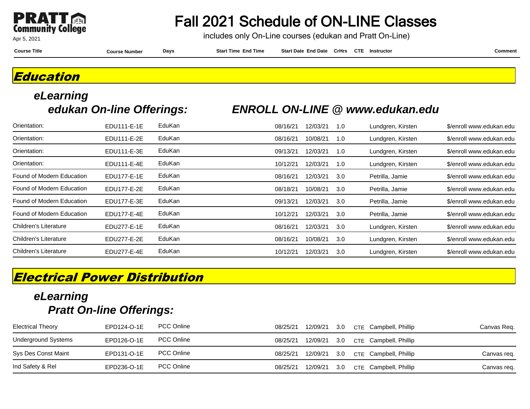

### Fall 2021 Schedule of ON-LINE Classes

includes only On-Line courses (edukan and Pratt On-Line)

**Course Title Course Number Days Start Time End Time Start Date End Date CrHrs Instructor Comment CTE**

#### **Education**

# **eLearning**

#### **edukan On-line Offerings: ENROLL ON-LINE @ www.edukan.edu**

| Orientation:              | EDU111-E-1E | EduKan        | 08/16/21 | 12/03/21 | 1.0 | Lundgren, Kirsten | \$/enroll www.edukan.edu |
|---------------------------|-------------|---------------|----------|----------|-----|-------------------|--------------------------|
| Orientation:              | EDU111-E-2E | EduKan        | 08/16/21 | 10/08/21 | 1.0 | Lundgren, Kirsten | \$/enroll www.edukan.edu |
| Orientation:              | EDU111-E-3E | <b>EduKan</b> | 09/13/21 | 12/03/21 | 1.0 | Lundgren, Kirsten | \$/enroll www.edukan.edu |
| Orientation:              | EDU111-E-4E | EduKan        | 10/12/21 | 12/03/21 | 1.0 | Lundgren, Kirsten | \$/enroll www.edukan.edu |
| Found of Modern Education | EDU177-E-1E | <b>EduKan</b> | 08/16/21 | 12/03/21 | 3.0 | Petrilla, Jamie   | \$/enroll www.edukan.edu |
| Found of Modern Education | EDU177-E-2E | EduKan        | 08/18/21 | 10/08/21 | 3.0 | Petrilla, Jamie   | \$/enroll www.edukan.edu |
| Found of Modern Education | EDU177-E-3E | <b>EduKan</b> | 09/13/21 | 12/03/21 | 3.0 | Petrilla, Jamie   | \$/enroll www.edukan.edu |
| Found of Modern Education | EDU177-E-4E | EduKan        | 10/12/21 | 12/03/21 | 3.0 | Petrilla, Jamie   | \$/enroll www.edukan.edu |
| Children's Literature     | EDU277-E-1E | <b>EduKan</b> | 08/16/21 | 12/03/21 | 3.0 | Lundgren, Kirsten | \$/enroll www.edukan.edu |
| Children's Literature     | EDU277-E-2E | EduKan        | 08/16/21 | 10/08/21 | 3.0 | Lundgren, Kirsten | \$/enroll www.edukan.edu |
| Children's Literature     | EDU277-E-4E | EduKan        | 10/12/21 | 12/03/21 | 3.0 | Lundgren, Kirsten | \$/enroll www.edukan.edu |

#### **Electrical Power Distribution**

| <b>Electrical Theory</b>   | EPD124-O-1E | <b>PCC Online</b> | 08/25/21 | 12/09/21 | 3.0 | CTE Campbell, Phillip     | Canvas Req. |
|----------------------------|-------------|-------------------|----------|----------|-----|---------------------------|-------------|
| <b>Underground Systems</b> | EPD126-O-1E | <b>PCC Online</b> | 08/25/21 | 12/09/21 |     | 3.0 CTE Campbell, Phillip |             |
| Sys Des Const Maint        | EPD131-O-1E | <b>PCC Online</b> | 08/25/21 | 12/09/21 |     | 3.0 CTE Campbell, Phillip | Canvas req. |
| Ind Safety & Rel           | EPD236-O-1E | <b>PCC Online</b> | 08/25/21 | 12/09/21 |     | 3.0 CTE Campbell, Phillip | Canvas req. |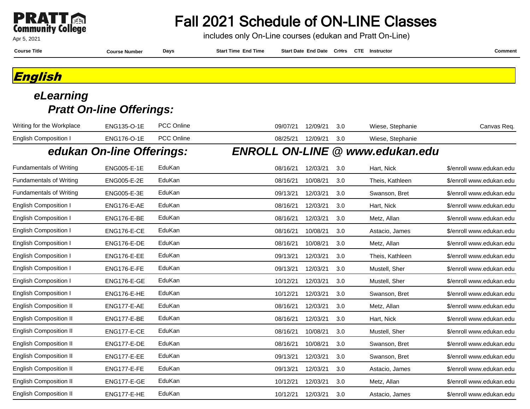

includes only On-Line courses (edukan and Pratt On-Line)

| <b>Course Title</b> | : Number<br>Course | <b>Days</b> | End Time<br>Star<br>: Time | <b>Start Date</b><br><b>End Date</b> | <b>CrHrs</b> | <b>CTE</b> | Instructor | `omment |
|---------------------|--------------------|-------------|----------------------------|--------------------------------------|--------------|------------|------------|---------|
|                     |                    |             |                            |                                      |              |            |            |         |

**English**

| Writing for the Workplace      | ENG135-O-1E               | PCC Online        | 09/07/21 | 12/09/21 | 3.0 | Wiese, Stephanie                       | Canvas Req.              |
|--------------------------------|---------------------------|-------------------|----------|----------|-----|----------------------------------------|--------------------------|
| <b>English Composition I</b>   | ENG176-O-1E               | <b>PCC Online</b> | 08/25/21 | 12/09/21 | 3.0 | Wiese, Stephanie                       |                          |
|                                | edukan On-line Offerings: |                   |          |          |     | <b>ENROLL ON-LINE @ www.edukan.edu</b> |                          |
| <b>Fundamentals of Writing</b> | ENG005-E-1E               | EduKan            | 08/16/21 | 12/03/21 | 3.0 | Hart, Nick                             | \$/enroll www.edukan.edu |
| <b>Fundamentals of Writing</b> | ENG005-E-2E               | EduKan            | 08/16/21 | 10/08/21 | 3.0 | Theis, Kathleen                        | \$/enroll www.edukan.edu |
| <b>Fundamentals of Writing</b> | ENG005-E-3E               | EduKan            | 09/13/21 | 12/03/21 | 3.0 | Swanson, Bret                          | \$/enroll www.edukan.edu |
| <b>English Composition I</b>   | ENG176-E-AE               | EduKan            | 08/16/21 | 12/03/21 | 3.0 | Hart, Nick                             | \$/enroll www.edukan.edu |
| <b>English Composition I</b>   | ENG176-E-BE               | EduKan            | 08/16/21 | 12/03/21 | 3.0 | Metz, Allan                            | \$/enroll www.edukan.edu |
| <b>English Composition I</b>   | ENG176-E-CE               | EduKan            | 08/16/21 | 10/08/21 | 3.0 | Astacio, James                         | \$/enroll www.edukan.edu |
| <b>English Composition I</b>   | ENG176-E-DE               | EduKan            | 08/16/21 | 10/08/21 | 3.0 | Metz, Allan                            | \$/enroll www.edukan.edu |
| <b>English Composition I</b>   | <b>ENG176-E-EE</b>        | EduKan            | 09/13/21 | 12/03/21 | 3.0 | Theis, Kathleen                        | \$/enroll www.edukan.edu |
| <b>English Composition I</b>   | ENG176-E-FE               | EduKan            | 09/13/21 | 12/03/21 | 3.0 | Mustell, Sher                          | \$/enroll www.edukan.edu |
| <b>English Composition I</b>   | ENG176-E-GE               | EduKan            | 10/12/21 | 12/03/21 | 3.0 | Mustell, Sher                          | \$/enroll www.edukan.edu |
| <b>English Composition I</b>   | ENG176-E-HE               | EduKan            | 10/12/21 | 12/03/21 | 3.0 | Swanson, Bret                          | \$/enroll www.edukan.edu |
| <b>English Composition II</b>  | ENG177-E-AE               | EduKan            | 08/16/21 | 12/03/21 | 3.0 | Metz, Allan                            | \$/enroll www.edukan.edu |
| <b>English Composition II</b>  | ENG177-E-BE               | EduKan            | 08/16/21 | 12/03/21 | 3.0 | Hart, Nick                             | \$/enroll www.edukan.edu |
| <b>English Composition II</b>  | ENG177-E-CE               | EduKan            | 08/16/21 | 10/08/21 | 3.0 | Mustell, Sher                          | \$/enroll www.edukan.edu |
| <b>English Composition II</b>  | ENG177-E-DE               | EduKan            | 08/16/21 | 10/08/21 | 3.0 | Swanson, Bret                          | \$/enroll www.edukan.edu |
| <b>English Composition II</b>  | <b>ENG177-E-EE</b>        | EduKan            | 09/13/21 | 12/03/21 | 3.0 | Swanson, Bret                          | \$/enroll www.edukan.edu |
| <b>English Composition II</b>  | ENG177-E-FE               | EduKan            | 09/13/21 | 12/03/21 | 3.0 | Astacio, James                         | \$/enroll www.edukan.edu |
| <b>English Composition II</b>  | ENG177-E-GE               | EduKan            | 10/12/21 | 12/03/21 | 3.0 | Metz, Allan                            | \$/enroll www.edukan.edu |
| <b>English Composition II</b>  | ENG177-E-HE               | EduKan            | 10/12/21 | 12/03/21 | 3.0 | Astacio, James                         | \$/enroll www.edukan.edu |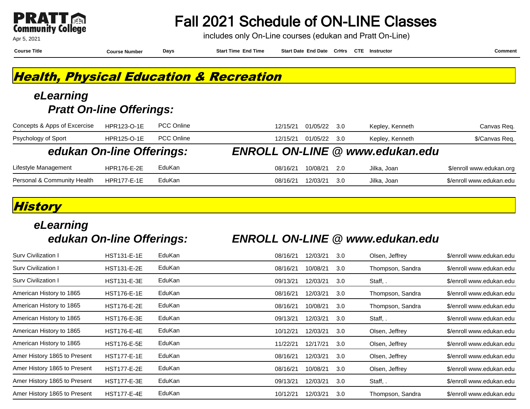

includes only On-Line courses (edukan and Pratt On-Line)

**Course Title Course Number Days Start Time End Time Start Date End Date CrHrs Instructor Comment CTE**

### **Health, Physical Education & Recreation**

#### **eLearning Pratt On-line Offerings:**

| Concepts & Apps of Excercise | <b>HPR123-O-1E</b> | <b>PCC Online</b> | 01/05/22<br>Kepley, Kenneth<br>12/15/21<br>-3.0 | Canvas Req.              |
|------------------------------|--------------------|-------------------|-------------------------------------------------|--------------------------|
| Psychology of Sport          | <b>HPR125-O-1E</b> | <b>PCC Online</b> | 01/05/22<br>Kepley, Kenneth<br>12/15/21<br>-30  | \$/Canvas Req.           |
| edukan On-line Offerings:    |                    |                   | <b>ENROLL ON-LINE @ www.edukan.edu</b>          |                          |
| Lifestyle Management         | <b>HPR176-E-2E</b> | EduKan            | 10/08/21<br>Jilka, Joan<br>08/16/21<br>- 20     | \$/enroll www.edukan.org |
| Personal & Community Health  | <b>HPR177-E-1E</b> | EduKan            | 12/03/21<br>08/16/21<br>Jilka, Joan<br>-3.0     | \$/enroll www.edukan.edu |

#### **History**

# **eLearning**

#### **edukan On-line Offerings: ENROLL ON-LINE @ www.edukan.edu**

| Surv Civilization I          | <b>HST131-E-1E</b> | EduKan | 08/16/21 | 12/03/21 | 3.0 | Olsen, Jeffrey   | \$/enroll www.edukan.edu |
|------------------------------|--------------------|--------|----------|----------|-----|------------------|--------------------------|
| Sury Civilization I          | <b>HST131-E-2E</b> | EduKan | 08/16/21 | 10/08/21 | 3.0 | Thompson, Sandra | \$/enroll www.edukan.edu |
| Surv Civilization I          | <b>HST131-E-3E</b> | EduKan | 09/13/21 | 12/03/21 | 3.0 | Staff, .         | \$/enroll www.edukan.edu |
| American History to 1865     | <b>HST176-E-1E</b> | EduKan | 08/16/21 | 12/03/21 | 3.0 | Thompson, Sandra | \$/enroll www.edukan.edu |
| American History to 1865     | <b>HST176-E-2E</b> | EduKan | 08/16/21 | 10/08/21 | 3.0 | Thompson, Sandra | \$/enroll www.edukan.edu |
| American History to 1865     | <b>HST176-E-3E</b> | EduKan | 09/13/21 | 12/03/21 | 3.0 | Staff, .         | \$/enroll www.edukan.edu |
| American History to 1865     | <b>HST176-E-4E</b> | EduKan | 10/12/21 | 12/03/21 | 3.0 | Olsen, Jeffrey   | \$/enroll www.edukan.edu |
| American History to 1865     | <b>HST176-E-5E</b> | EduKan | 11/22/21 | 12/17/21 | 3.0 | Olsen, Jeffrey   | \$/enroll www.edukan.edu |
| Amer History 1865 to Present | <b>HST177-E-1E</b> | EduKan | 08/16/21 | 12/03/21 | 3.0 | Olsen, Jeffrey   | \$/enroll www.edukan.edu |
| Amer History 1865 to Present | <b>HST177-E-2E</b> | EduKan | 08/16/21 | 10/08/21 | 3.0 | Olsen, Jeffrey   | \$/enroll www.edukan.edu |
| Amer History 1865 to Present | <b>HST177-E-3E</b> | EduKan | 09/13/21 | 12/03/21 | 3.0 | Staff, .         | \$/enroll www.edukan.edu |
| Amer History 1865 to Present | <b>HST177-E-4E</b> | EduKan | 10/12/21 | 12/03/21 | 3.0 | Thompson, Sandra | \$/enroll www.edukan.edu |
|                              |                    |        |          |          |     |                  |                          |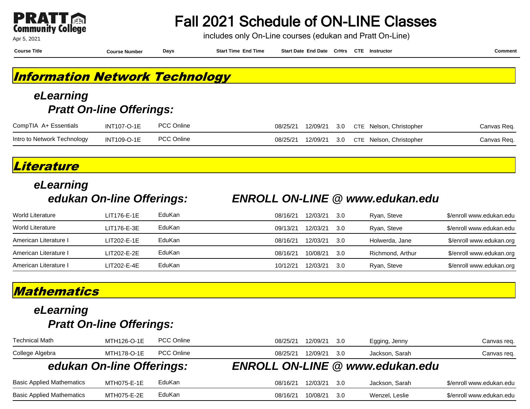| W                        |  |
|--------------------------|--|
| <b>Community College</b> |  |

Fall 2021 Schedule of ON-LINE Classes

includes only On-Line courses (edukan and Pratt On-Line)

**Course Title Course Number Days Start Time End Time Start Date End Date CrHrs Instructor Comment CTE**

### **Information Network Technology**

#### **eLearning Pratt On-line Offerings:**

| CompTIA A+ Essentials       | <b>INT107-O-1E</b> | <b>PCC Online</b> | 08/25/21 |  | 12/09/21 3.0 CTE Nelson, Christopher | Canvas Req. |
|-----------------------------|--------------------|-------------------|----------|--|--------------------------------------|-------------|
| Intro to Network Technology | <b>INT109-O-1E</b> | <b>PCC Online</b> | 08/25/21 |  | 12/09/21 3.0 CTE Nelson, Christopher | Canvas Req. |

#### **Literature**

# **eLearning**

#### **edukan On-line Offerings: ENROLL ON-LINE @ www.edukan.edu**

| World Literature      | LIT176-E-1E   | EduKan | 08/16/21 | 12/03/21 | 3.0 | Ryan, Steve      | \$/enroll www.edukan.edu |
|-----------------------|---------------|--------|----------|----------|-----|------------------|--------------------------|
| World Literature      | LIT176-E-3E   | EduKan | 09/13/21 | 12/03/21 | 3.0 | Ryan, Steve      | \$/enroll www.edukan.edu |
| American Literature I | $LIT202-E-1E$ | EduKan | 08/16/21 | 12/03/21 | 3.0 | Holwerda, Jane   | \$/enroll www.edukan.org |
| American Literature I | LIT202-E-2E   | EduKan | 08/16/21 | 10/08/21 | 3.0 | Richmond, Arthur | \$/enroll www.edukan.org |
| American Literature I | LIT202-E-4E   | EduKan | 10/12/21 | 12/03/21 | 3.0 | Ryan, Steve      | \$/enroll www.edukan.org |

#### **Mathematics**

| <b>Technical Math</b>            | MTH126-O-1E               | <b>PCC Online</b> | 08/25/21 | 12/09/21<br>3.0  | Egging, Jenny                          | Canvas req.              |
|----------------------------------|---------------------------|-------------------|----------|------------------|----------------------------------------|--------------------------|
| College Algebra                  | MTH178-O-1E               | <b>PCC Online</b> | 08/25/21 | 12/09/21<br>3.0  | Jackson, Sarah                         | Canvas req.              |
|                                  | edukan On-line Offerings: |                   |          |                  | <b>ENROLL ON-LINE @ www.edukan.edu</b> |                          |
| <b>Basic Applied Mathematics</b> | MTH075-E-1E               | EduKan            | 08/16/21 | 12/03/21<br>-3.0 | Jackson, Sarah                         | \$/enroll www.edukan.edu |
| <b>Basic Applied Mathematics</b> | MTH075-E-2E               | EduKan            | 08/16/21 | 10/08/21<br>3.0  | Wenzel, Leslie                         | \$/enroll www.edukan.edu |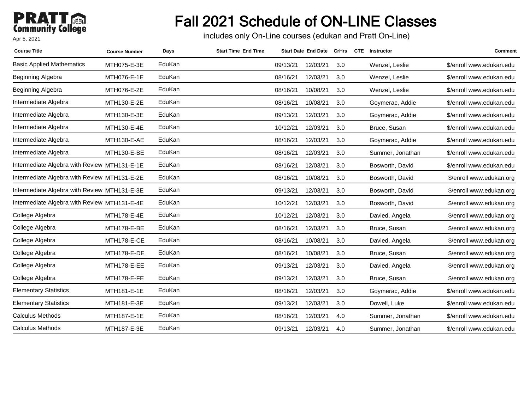### **PRATT**<br>Community College Apr 5, 2021

# Fall 2021 Schedule of ON-LINE Classes

includes only On-Line courses (edukan and Pratt On-Line)

| <b>Course Title</b>                          | <b>Course Number</b> | Days   | <b>Start Time End Time</b> |          | <b>Start Date End Date</b> | CrHrs | <b>CTE</b> Instructor | Comment                  |
|----------------------------------------------|----------------------|--------|----------------------------|----------|----------------------------|-------|-----------------------|--------------------------|
| <b>Basic Applied Mathematics</b>             | MTH075-E-3E          | EduKan |                            | 09/13/21 | 12/03/21                   | 3.0   | Wenzel, Leslie        | \$/enroll www.edukan.edu |
| Beginning Algebra                            | MTH076-E-1E          | EduKan |                            | 08/16/21 | 12/03/21                   | 3.0   | Wenzel, Leslie        | \$/enroll www.edukan.edu |
| Beginning Algebra                            | MTH076-E-2E          | EduKan |                            | 08/16/21 | 10/08/21                   | 3.0   | Wenzel, Leslie        | \$/enroll www.edukan.edu |
| Intermediate Algebra                         | MTH130-E-2E          | EduKan |                            | 08/16/21 | 10/08/21                   | 3.0   | Goymerac, Addie       | \$/enroll www.edukan.edu |
| Intermediate Algebra                         | MTH130-E-3E          | EduKan |                            | 09/13/21 | 12/03/21                   | 3.0   | Goymerac, Addie       | \$/enroll www.edukan.edu |
| Intermediate Algebra                         | MTH130-E-4E          | EduKan |                            | 10/12/21 | 12/03/21                   | 3.0   | Bruce, Susan          | \$/enroll www.edukan.edu |
| Intermediate Algebra                         | MTH130-E-AE          | EduKan |                            | 08/16/21 | 12/03/21                   | 3.0   | Goymerac, Addie       | \$/enroll www.edukan.edu |
| Intermediate Algebra                         | MTH130-E-BE          | EduKan |                            | 08/16/21 | 12/03/21                   | 3.0   | Summer, Jonathan      | \$/enroll www.edukan.edu |
| Intermediate Algebra with Review MTH131-E-1E |                      | EduKan |                            | 08/16/21 | 12/03/21                   | 3.0   | Bosworth, David       | \$/enroll www.edukan.edu |
| Intermediate Algebra with Review MTH131-E-2E |                      | EduKan |                            | 08/16/21 | 10/08/21                   | 3.0   | Bosworth, David       | \$/enroll www.edukan.org |
| Intermediate Algebra with Review MTH131-E-3E |                      | EduKan |                            | 09/13/21 | 12/03/21                   | 3.0   | Bosworth, David       | \$/enroll www.edukan.org |
| Intermediate Algebra with Review MTH131-E-4E |                      | EduKan |                            | 10/12/21 | 12/03/21                   | 3.0   | Bosworth, David       | \$/enroll www.edukan.org |
| College Algebra                              | MTH178-E-4E          | EduKan |                            | 10/12/21 | 12/03/21                   | 3.0   | Davied, Angela        | \$/enroll www.edukan.org |
| College Algebra                              | MTH178-E-BE          | EduKan |                            | 08/16/21 | 12/03/21                   | 3.0   | Bruce, Susan          | \$/enroll www.edukan.org |
| College Algebra                              | MTH178-E-CE          | EduKan |                            | 08/16/21 | 10/08/21                   | 3.0   | Davied, Angela        | \$/enroll www.edukan.org |
| College Algebra                              | MTH178-E-DE          | EduKan |                            | 08/16/21 | 10/08/21                   | 3.0   | Bruce, Susan          | \$/enroll www.edukan.org |
| College Algebra                              | MTH178-E-EE          | EduKan |                            | 09/13/21 | 12/03/21                   | 3.0   | Davied, Angela        | \$/enroll www.edukan.org |
| College Algebra                              | MTH178-E-FE          | EduKan |                            | 09/13/21 | 12/03/21                   | 3.0   | Bruce, Susan          | \$/enroll www.edukan.org |
| <b>Elementary Statistics</b>                 | MTH181-E-1E          | EduKan |                            | 08/16/21 | 12/03/21                   | 3.0   | Goymerac, Addie       | \$/enroll www.edukan.edu |
| <b>Elementary Statistics</b>                 | MTH181-E-3E          | EduKan |                            | 09/13/21 | 12/03/21                   | 3.0   | Dowell, Luke          | \$/enroll www.edukan.edu |
| Calculus Methods                             | MTH187-E-1E          | EduKan |                            | 08/16/21 | 12/03/21                   | 4.0   | Summer, Jonathan      | \$/enroll www.edukan.edu |
| Calculus Methods                             | MTH187-E-3E          | EduKan |                            | 09/13/21 | 12/03/21                   | 4.0   | Summer, Jonathan      | \$/enroll www.edukan.edu |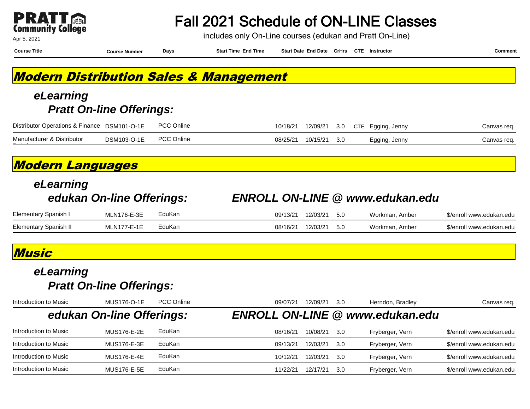| W                        |  |
|--------------------------|--|
| <b>Community College</b> |  |

Fall 2021 Schedule of ON-LINE Classes

includes only On-Line courses (edukan and Pratt On-Line)

| <b>Course Title</b>                                                                              | <b>Course Number</b>            | Days              | <b>Start Time End Time</b> |          | Start Date End Date CrHrs CTE Instructor |          |            |                                        | <b>Comment</b>           |
|--------------------------------------------------------------------------------------------------|---------------------------------|-------------------|----------------------------|----------|------------------------------------------|----------|------------|----------------------------------------|--------------------------|
| <b>Modern Distribution Sales &amp; Management</b>                                                |                                 |                   |                            |          |                                          |          |            |                                        |                          |
| eLearning                                                                                        |                                 |                   |                            |          |                                          |          |            |                                        |                          |
|                                                                                                  | <b>Pratt On-line Offerings:</b> |                   |                            |          |                                          |          |            |                                        |                          |
| Distributor Operations & Finance DSM101-O-1E                                                     |                                 | <b>PCC Online</b> |                            | 10/18/21 | 12/09/21                                 | 3.0      | <b>CTE</b> | Egging, Jenny                          | Canvas req.              |
| Manufacturer & Distributor                                                                       | DSM103-O-1E                     | <b>PCC Online</b> |                            | 08/25/21 | 10/15/21                                 | 3.0      |            | Egging, Jenny                          | Canvas req.              |
| <b>Modern Languages</b>                                                                          |                                 |                   |                            |          |                                          |          |            |                                        |                          |
| eLearning                                                                                        |                                 |                   |                            |          |                                          |          |            |                                        |                          |
|                                                                                                  | edukan On-line Offerings:       |                   |                            |          |                                          |          |            | <b>ENROLL ON-LINE @ www.edukan.edu</b> |                          |
| Elementary Spanish I                                                                             | <b>MLN176-E-3E</b>              | EduKan            |                            | 09/13/21 | 12/03/21                                 | 5.0      |            | Workman, Amber                         | \$/enroll www.edukan.edu |
| <b>Elementary Spanish II</b>                                                                     | <b>MLN177-E-1E</b>              | EduKan            |                            | 08/16/21 | 12/03/21                                 | 5.0      |            | Workman, Amber                         | \$/enroll www.edukan.edu |
| Music                                                                                            |                                 |                   |                            |          |                                          |          |            |                                        |                          |
| eLearning                                                                                        |                                 |                   |                            |          |                                          |          |            |                                        |                          |
|                                                                                                  | <b>Pratt On-line Offerings:</b> |                   |                            |          |                                          |          |            |                                        |                          |
|                                                                                                  | <b>MUS176-O-1E</b>              | <b>PCC Online</b> |                            |          | 09/07/21 12/09/21                        | 3.0      |            | Herndon, Bradley                       | Canvas req.              |
|                                                                                                  | edukan On-line Offerings:       |                   | <b>ENROLL ON-LINE</b>      |          |                                          | $\omega$ |            | www.edukan.edu                         |                          |
|                                                                                                  | <b>MUS176-E-2E</b>              | EduKan            |                            | 08/16/21 | 10/08/21                                 | 3.0      |            | Fryberger, Vern                        | \$/enroll www.edukan.edu |
|                                                                                                  | <b>MUS176-E-3E</b>              | EduKan            |                            | 09/13/21 | 12/03/21                                 | 3.0      |            | Fryberger, Vern                        | \$/enroll www.edukan.edu |
| Introduction to Music<br>Introduction to Music<br>Introduction to Music<br>Introduction to Music | <b>MUS176-E-4E</b>              | EduKan            |                            | 10/12/21 | 12/03/21                                 | 3.0      |            | Fryberger, Vern                        | \$/enroll www.edukan.edu |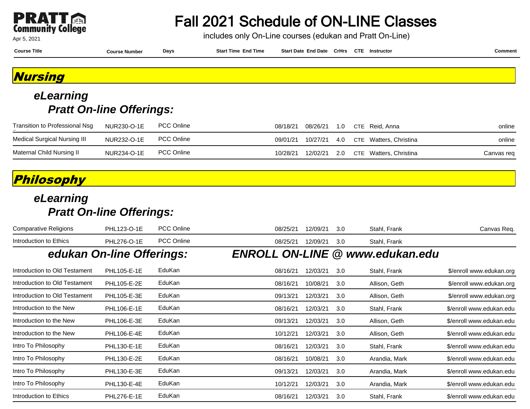

includes only On-Line courses (edukan and Pratt On-Line)

| <b>Course Title</b> | <b>Course Number</b> | Days | <b>Start Time End Time</b> | Start Date End Date CrHrs CTE Instructor |  | Comment |
|---------------------|----------------------|------|----------------------------|------------------------------------------|--|---------|
|                     |                      |      |                            |                                          |  |         |
| <b>Nursing</b>      |                      |      |                            |                                          |  |         |
| eLearning           |                      |      |                            |                                          |  |         |

### **Pratt On-line Offerings:**

| Transition to Professional Nsg | NUR230-O-1E | <b>PCC Online</b> | 08/18/21 |  | 08/26/21  1.0  CTE Reid, Anna                   | online     |
|--------------------------------|-------------|-------------------|----------|--|-------------------------------------------------|------------|
| Medical Surgical Nursing III   | NUR232-O-1E | <b>PCC Online</b> |          |  | 09/01/21  10/27/21  4.0  CTE Watters, Christina | online     |
| Maternal Child Nursing II      | NUR234-O-1E | <b>PCC Online</b> |          |  | 10/28/21 12/02/21 2.0 CTE Watters, Christina    | Canvas reg |

#### **Philosophy**

| \$/enroll www.edukan.org |
|--------------------------|
| \$/enroll www.edukan.org |
| \$/enroll www.edukan.org |
| \$/enroll www.edukan.edu |
| \$/enroll www.edukan.edu |
| \$/enroll www.edukan.edu |
| \$/enroll www.edukan.edu |
| \$/enroll www.edukan.edu |
| \$/enroll www.edukan.edu |
| \$/enroll www.edukan.edu |
| \$/enroll www.edukan.edu |
|                          |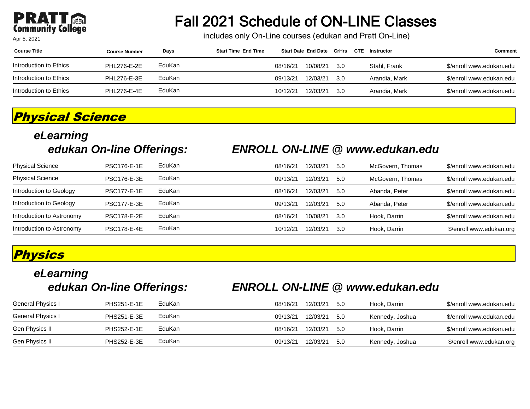#### PRA **Community College**

#### Apr 5, 2021

## Fall 2021 Schedule of ON-LINE Classes

includes only On-Line courses (edukan and Pratt On-Line)

| <b>Course Title</b>     | <b>Course Number</b> | Days   | <b>Start Time End Time</b> |          | <b>Start Date End Date CrHrs</b> |      | CTE | Instructor    | Comment                  |
|-------------------------|----------------------|--------|----------------------------|----------|----------------------------------|------|-----|---------------|--------------------------|
| Introduction to Ethics  | <b>PHL276-E-2E</b>   | EduKan |                            | 08/16/21 | 10/08/21                         | -3.0 |     | Stahl, Frank  | \$/enroll www.edukan.edu |
| Introduction to Ethics_ | PHL276-E-3E          | EduKan |                            | 09/13/21 | 12/03/21                         | -3.0 |     | Arandia, Mark | \$/enroll www.edukan.edu |
| Introduction to Ethics_ | <b>PHL276-E-4E</b>   | EduKan |                            | 10/12/21 | 12/03/21                         | 3.0  |     | Arandia, Mark | \$/enroll www.edukan.edu |

#### **Physical Science**

# **eLearning**

#### **edukan On-line Offerings: ENROLL ON-LINE @ www.edukan.edu**

| <b>Physical Science</b>   | <b>PSC176-E-1E</b> | EduKan | 08/16/21 | 12/03/21 | 5.0  | McGovern, Thomas | \$/enroll www.edukan.edu |
|---------------------------|--------------------|--------|----------|----------|------|------------------|--------------------------|
| <b>Physical Science</b>   | <b>PSC176-E-3E</b> | EduKan | 09/13/21 | 12/03/21 | 5.0  | McGovern, Thomas | \$/enroll www.edukan.edu |
| Introduction to Geology   | <b>PSC177-E-1E</b> | EduKan | 08/16/21 | 12/03/21 | 5.0  | Abanda, Peter    | \$/enroll www.edukan.edu |
| Introduction to Geology   | <b>PSC177-E-3E</b> | EduKan | 09/13/21 | 12/03/21 | -5.0 | Abanda, Peter    | \$/enroll www.edukan.edu |
| Introduction to Astronomy | <b>PSC178-E-2E</b> | EduKan | 08/16/21 | 10/08/21 | -3.0 | Hook. Darrin     | \$/enroll www.edukan.edu |
| Introduction to Astronomy | <b>PSC178-E-4E</b> | EduKan | 10/12/21 | 12/03/21 | 3.0  | Hook, Darrin     | \$/enroll www.edukan.org |

#### **Physics**

# **eLearning**

#### **edukan On-line Offerings: ENROLL ON-LINE @ www.edukan.edu**

| Gen Physics II    | <b>PHS252-E-3E</b> | EduKan | 09/13/21 | 12/03/21 | -5.0 | Kennedy, Joshua | \$/enroll www.edukan.org |
|-------------------|--------------------|--------|----------|----------|------|-----------------|--------------------------|
| Gen Physics II    | <b>PHS252-E-1E</b> | EduKan | 08/16/21 | 12/03/21 | 5.0  | Hook. Darrin    | \$/enroll www.edukan.edu |
| General Physics I | <b>PHS251-E-3E</b> | EduKan | 09/13/21 | 12/03/21 | 5.0  | Kennedy, Joshua | \$/enroll www.edukan.edu |
| General Physics I | <b>PHS251-E-1E</b> | EduKan | 08/16/21 | 12/03/21 | 5.0  | Hook. Darrin    | \$/enroll www.edukan.edu |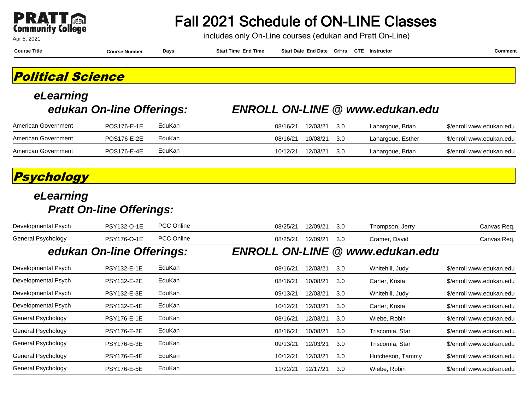

includes only On-Line courses (edukan and Pratt On-Line)

Apr 5, 2021

**Course Title Course Number Days Start Time End Time Start Date End Date CrHrs Instructor Comment CTE**

**Political Science**

# **eLearning**

#### **edukan On-line Offerings: ENROLL ON-LINE @ www.edukan.edu**

| American Government | POS176-E-1E | EduKan | 08/16/21 | 12/03/21 | -3.0 | Lahargoue, Brian  | \$/enroll www.edukan.edu |
|---------------------|-------------|--------|----------|----------|------|-------------------|--------------------------|
| American Government | POS176-E-2E | EduKan | 08/16/21 | 10/08/21 | -30  | Lahargoue, Esther | \$/enroll www.edukan.edu |
| American Government | POS176-E-4E | EduKan | 10/12/21 | 12/03/21 | -3.C | Lahargoue, Brian  | \$/enroll www.edukan.edu |

#### **Psychology**

| Developmental Psych | PSY132-O-1E               | <b>PCC Online</b> | 08/25/21 | 12/09/21 | 3.0 | Thompson, Jerry                        | Canvas Req.              |
|---------------------|---------------------------|-------------------|----------|----------|-----|----------------------------------------|--------------------------|
| General Psychology  | PSY176-O-1E               | <b>PCC Online</b> | 08/25/21 | 12/09/21 | 3.0 | Cramer, David                          | Canvas Req.              |
|                     | edukan On-line Offerings: |                   |          |          |     | <b>ENROLL ON-LINE @ www.edukan.edu</b> |                          |
| Developmental Psych | <b>PSY132-E-1E</b>        | EduKan            | 08/16/21 | 12/03/21 | 3.0 | Whitehill, Judy                        | \$/enroll www.edukan.edu |
| Developmental Psych | <b>PSY132-E-2E</b>        | EduKan            | 08/16/21 | 10/08/21 | 3.0 | Carter, Krista                         | \$/enroll www.edukan.edu |
| Developmental Psych | <b>PSY132-E-3E</b>        | EduKan            | 09/13/21 | 12/03/21 | 3.0 | Whitehill, Judy                        | \$/enroll www.edukan.edu |
| Developmental Psych | <b>PSY132-E-4E</b>        | EduKan            | 10/12/21 | 12/03/21 | 3.0 | Carter, Krista                         | \$/enroll www.edukan.edu |
| General Psychology  | <b>PSY176-E-1E</b>        | EduKan            | 08/16/21 | 12/03/21 | 3.0 | Wiebe, Robin                           | \$/enroll www.edukan.edu |
| General Psychology  | <b>PSY176-E-2E</b>        | EduKan            | 08/16/21 | 10/08/21 | 3.0 | Triscornia, Star                       | \$/enroll www.edukan.edu |
| General Psychology  | <b>PSY176-E-3E</b>        | EduKan            | 09/13/21 | 12/03/21 | 3.0 | Triscornia, Star                       | \$/enroll www.edukan.edu |
| General Psychology  | <b>PSY176-E-4E</b>        | EduKan            | 10/12/21 | 12/03/21 | 3.0 | Hutcheson, Tammy                       | \$/enroll www.edukan.edu |
| General Psychology  | <b>PSY176-E-5E</b>        | EduKan            | 11/22/21 | 12/17/21 | 3.0 | Wiebe, Robin                           | \$/enroll www.edukan.edu |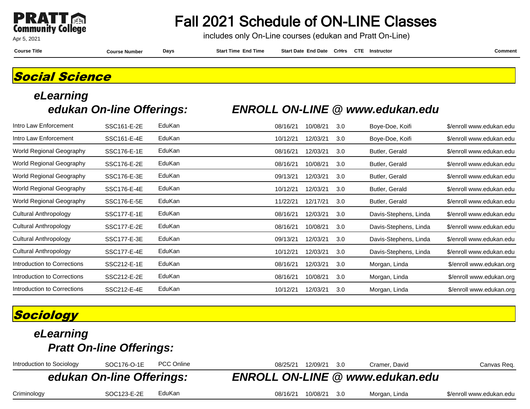

### Fall 2021 Schedule of ON-LINE Classes

includes only On-Line courses (edukan and Pratt On-Line)

**Course Title Course Number Days Start Time End Time Start Date End Date CrHrs Instructor Comment CTE**

### **Social Science**

# **eLearning**

#### **edukan On-line Offerings: ENROLL ON-LINE @ www.edukan.edu**

| SSC161-E-2E | EduKan | 08/16/21 | 10/08/21 | 3.0 | Boye-Doe, Koifi       | \$/enroll www.edukan.edu |
|-------------|--------|----------|----------|-----|-----------------------|--------------------------|
| SSC161-E-4E | EduKan | 10/12/21 | 12/03/21 | 3.0 | Boye-Doe, Koifi       | \$/enroll www.edukan.edu |
| SSC176-E-1E | EduKan | 08/16/21 | 12/03/21 | 3.0 | Butler, Gerald        | \$/enroll www.edukan.edu |
| SSC176-E-2E | EduKan | 08/16/21 | 10/08/21 | 3.0 | Butler, Gerald        | \$/enroll www.edukan.edu |
| SSC176-E-3E | EduKan | 09/13/21 | 12/03/21 | 3.0 | Butler, Gerald        | \$/enroll www.edukan.edu |
| SSC176-E-4E | EduKan | 10/12/21 | 12/03/21 | 3.0 | Butler, Gerald        | \$/enroll www.edukan.edu |
| SSC176-E-5E | EduKan | 11/22/21 | 12/17/21 | 3.0 | Butler, Gerald        | \$/enroll www.edukan.edu |
| SSC177-E-1E | EduKan | 08/16/21 | 12/03/21 | 3.0 | Davis-Stephens, Linda | \$/enroll www.edukan.edu |
| SSC177-E-2E | EduKan | 08/16/21 | 10/08/21 | 3.0 | Davis-Stephens, Linda | \$/enroll www.edukan.edu |
| SSC177-E-3E | EduKan | 09/13/21 | 12/03/21 | 3.0 | Davis-Stephens, Linda | \$/enroll www.edukan.edu |
| SSC177-E-4E | EduKan | 10/12/21 | 12/03/21 | 3.0 | Davis-Stephens, Linda | \$/enroll www.edukan.edu |
| SSC212-E-1E | EduKan | 08/16/21 | 12/03/21 | 3.0 | Morgan, Linda         | \$/enroll www.edukan.org |
| SSC212-E-2E | EduKan | 08/16/21 | 10/08/21 | 3.0 | Morgan, Linda         | \$/enroll www.edukan.org |
| SSC212-E-4E | EduKan | 10/12/21 | 12/03/21 | 3.0 | Morgan, Linda         | \$/enroll www.edukan.org |
|             |        |          |          |     |                       |                          |

### **Sociology**

### **eLearning Pratt On-line Offerings:** Introduction to Sociology SOC176-O-1E PCC Online 08/25/21 12/09/21 3.0 Cramer, David Canvas Req. **edukan On-line Offerings: ENROLL ON-LINE @ www.edukan.edu** Criminology SOC123-E-2E EduKan 08/16/21 10/08/21 3.0 Morgan, Linda \$/enroll www.edukan.edu